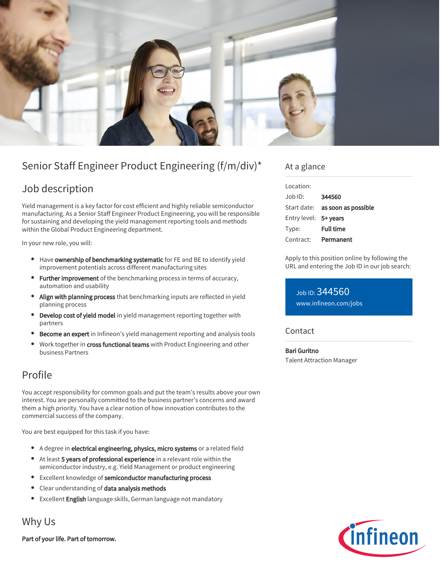

# Senior Staff Engineer Product Engineering (f/m/div)\*

## Job description

Yield management is a key factor for cost efficient and highly reliable semiconductor manufacturing. As a Senior Staff Engineer Product Engineering, you will be responsible for sustaining and developing the yield management reporting tools and methods within the Global Product Engineering department.

In your new role, you will:

- Have ownership of benchmarking systematic for FE and BE to identify yield improvement potentials across different manufacturing sites
- Further improvement of the benchmarking process in terms of accuracy, automation and usability
- Align with planning process that benchmarking inputs are reflected in yield planning process
- **Develop cost of yield model** in yield management reporting together with partners
- Become an expert in Infineon's yield management reporting and analysis tools
- Work together in cross functional teams with Product Engineering and other business Partners

### Profile

You accept responsibility for common goals and put the team's results above your own interest. You are personally committed to the business partner's concerns and award them a high priority. You have a clear notion of how innovation contributes to the commercial success of the company.

You are best equipped for this task if you have:

- A degree in electrical engineering, physics, micro systems or a related field
- At least 5 years of professional experience in a relevant role within the semiconductor industry, e.g. Yield Management or product engineering
- Excellent knowledge of semiconductor manufacturing process
- Clear understanding of data analysis methods
- **Excellent English language skills, German language not mandatory**

Why Us

Part of your life. Part of tomorrow.

#### At a glance

| 344560                                 |
|----------------------------------------|
| Start date: <b>as soon as possible</b> |
| Entry level: 5+ years                  |
| <b>Full time</b>                       |
| Permanent                              |
|                                        |

Apply to this position online by following the URL and entering the Job ID in our job search:

Job ID: 344560 [www.infineon.com/jobs](https://www.infineon.com/jobs)

#### **Contact**

Bari Guritno Talent Attraction Manager